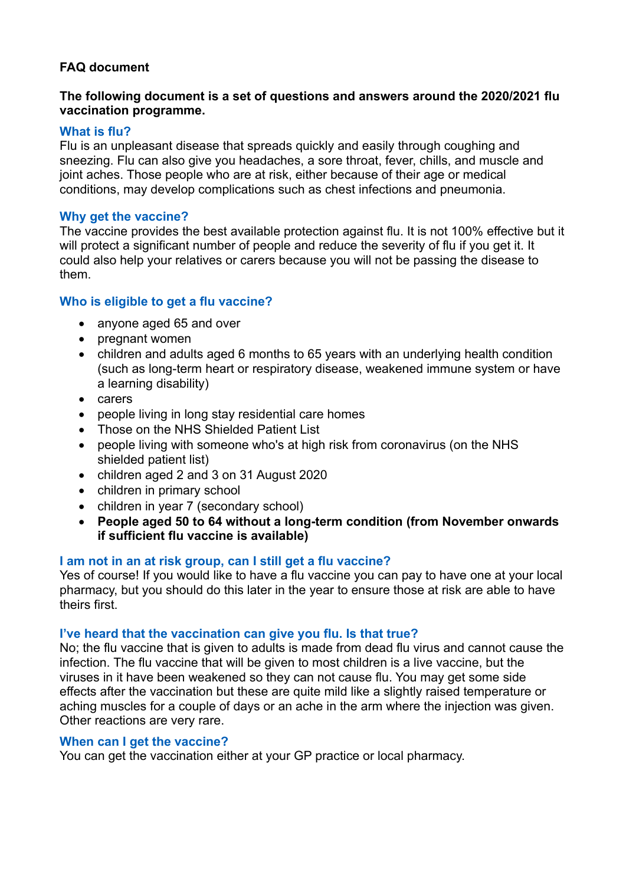# **FAQ document**

# **The following document is a set of questions and answers around the 2020/2021 flu vaccination programme.**

# **What is flu?**

Flu is an unpleasant disease that spreads quickly and easily through coughing and sneezing. Flu can also give you headaches, a sore throat, fever, chills, and muscle and joint aches. Those people who are at risk, either because of their age or medical conditions, may develop complications such as chest infections and pneumonia.

# **Why get the vaccine?**

The vaccine provides the best available protection against flu. It is not 100% effective but it will protect a significant number of people and reduce the severity of flu if you get it. It could also help your relatives or carers because you will not be passing the disease to them.

# **Who is eligible to get a flu vaccine?**

- anyone aged 65 and over
- pregnant women
- children and adults aged 6 months to 65 years with an underlying health condition (such as long-term heart or respiratory disease, weakened immune system or have a learning disability)
- carers
- people living in long stay residential care homes
- Those on the NHS Shielded Patient List
- people living with someone who's at high risk from coronavirus (on the NHS shielded patient list)
- children aged 2 and 3 on 31 August 2020
- children in primary school
- children in year 7 (secondary school)
- **People aged 50 to 64 without a long-term condition (from November onwards if sufficient flu vaccine is available)**

# **I am not in an at risk group, can I still get a flu vaccine?**

Yes of course! If you would like to have a flu vaccine you can pay to have one at your local pharmacy, but you should do this later in the year to ensure those at risk are able to have theirs first.

# **I've heard that the vaccination can give you flu. Is that true?**

No; the flu vaccine that is given to adults is made from dead flu virus and cannot cause the infection. The flu vaccine that will be given to most children is a live vaccine, but the viruses in it have been weakened so they can not cause flu. You may get some side effects after the vaccination but these are quite mild like a slightly raised temperature or aching muscles for a couple of days or an ache in the arm where the injection was given. Other reactions are very rare.

# **When can I get the vaccine?**

You can get the vaccination either at your GP practice or local pharmacy.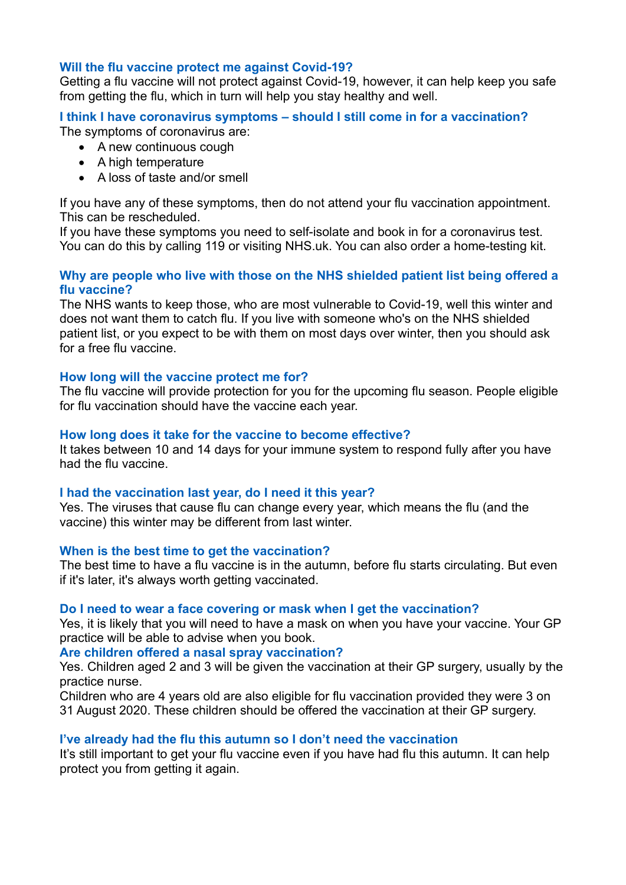### **Will the flu vaccine protect me against Covid-19?**

Getting a flu vaccine will not protect against Covid-19, however, it can help keep you safe from getting the flu, which in turn will help you stay healthy and well.

#### **I think I have coronavirus symptoms – should I still come in for a vaccination?** The symptoms of coronavirus are:

- A new continuous cough
- A high temperature
- A loss of taste and/or smell

If you have any of these symptoms, then do not attend your flu vaccination appointment. This can be rescheduled.

If you have these symptoms you need to self-isolate and book in for a coronavirus test. You can do this by calling 119 or visiting NHS.uk. You can also order a home-testing kit.

### **Why are people who live with those on the NHS shielded patient list being offered a flu vaccine?**

The NHS wants to keep those, who are most vulnerable to Covid-19, well this winter and does not want them to catch flu. If you live with someone who's on the NHS shielded patient list, or you expect to be with them on most days over winter, then you should ask for a free flu vaccine.

### **How long will the vaccine protect me for?**

The flu vaccine will provide protection for you for the upcoming flu season. People eligible for flu vaccination should have the vaccine each year.

### **How long does it take for the vaccine to become effective?**

It takes between 10 and 14 days for your immune system to respond fully after you have had the flu vaccine.

#### **I had the vaccination last year, do I need it this year?**

Yes. The viruses that cause flu can change every year, which means the flu (and the vaccine) this winter may be different from last winter.

#### **When is the best time to get the vaccination?**

The best time to have a flu vaccine is in the autumn, before flu starts circulating. But even if it's later, it's always worth getting vaccinated.

#### **Do I need to wear a face covering or mask when I get the vaccination?**

Yes, it is likely that you will need to have a mask on when you have your vaccine. Your GP practice will be able to advise when you book.

#### **Are children offered a nasal spray vaccination?**

Yes. Children aged 2 and 3 will be given the vaccination at their GP surgery, usually by the practice nurse.

Children who are 4 years old are also eligible for flu vaccination provided they were 3 on 31 August 2020. These children should be offered the vaccination at their GP surgery.

#### **I've already had the flu this autumn so I don't need the vaccination**

It's still important to get your flu vaccine even if you have had flu this autumn. It can help protect you from getting it again.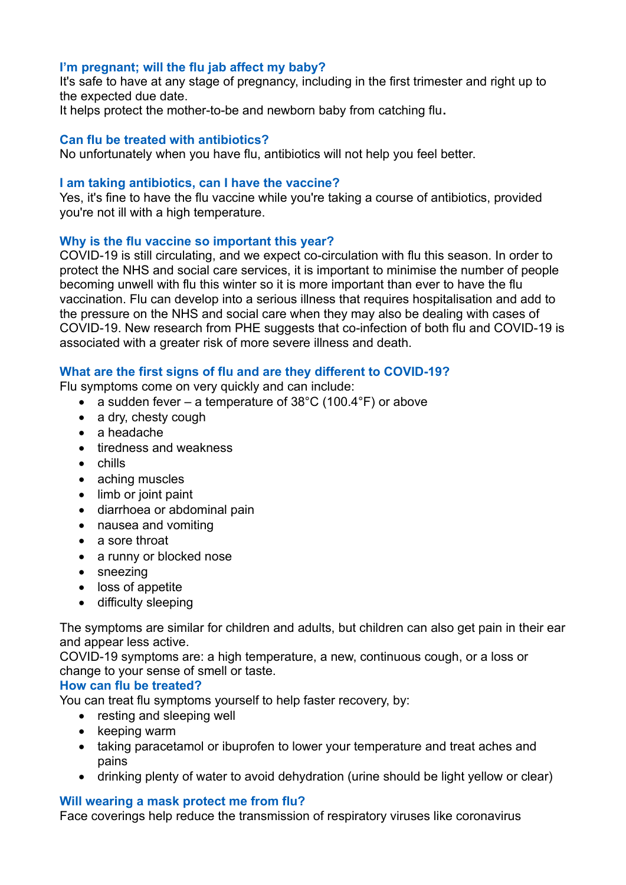# **I'm pregnant; will the flu jab affect my baby?**

It's safe to have at any stage of pregnancy, including in the first trimester and right up to the expected due date.

It helps protect the mother-to-be and newborn baby from catching flu**.**

### **Can flu be treated with antibiotics?**

No unfortunately when you have flu, antibiotics will not help you feel better.

### **I am taking antibiotics, can I have the vaccine?**

Yes, it's fine to have the flu vaccine while you're taking a course of antibiotics, provided you're not ill with a high temperature.

### **Why is the flu vaccine so important this year?**

COVID-19 is still circulating, and we expect co-circulation with flu this season. In order to protect the NHS and social care services, it is important to minimise the number of people becoming unwell with flu this winter so it is more important than ever to have the flu vaccination. Flu can develop into a serious illness that requires hospitalisation and add to the pressure on the NHS and social care when they may also be dealing with cases of COVID-19. New research from PHE suggests that co-infection of both flu and COVID-19 is associated with a greater risk of more severe illness and death.

# **What are the first signs of flu and are they different to COVID-19?**

Flu symptoms come on very quickly and can include:

- a sudden fever a temperature of  $38^{\circ}$ C (100.4°F) or above
- a dry, chesty cough
- a headache
- tiredness and weakness
- chills
- aching muscles
- limb or joint paint
- diarrhoea or abdominal pain
- nausea and vomiting
- a sore throat
- a runny or blocked nose
- sneezing
- loss of appetite
- difficulty sleeping

The symptoms are similar for children and adults, but children can also get pain in their ear and appear less active.

COVID-19 symptoms are: a high temperature, a new, continuous cough, or a loss or change to your sense of smell or taste.

#### **How can flu be treated?**

You can treat flu symptoms yourself to help faster recovery, by:

- resting and sleeping well
- keeping warm
- taking paracetamol or ibuprofen to lower your temperature and treat aches and pains
- drinking plenty of water to avoid dehydration (urine should be light yellow or clear)

#### **Will wearing a mask protect me from flu?**

Face coverings help reduce the transmission of respiratory viruses like coronavirus